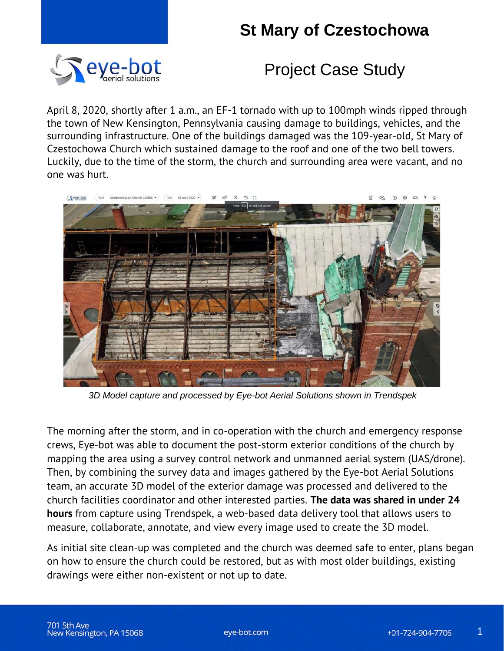## **St Mary of Czestochowa**



#### Project Case Study

April 8, 2020, shortly after 1 a.m., an EF-1 tornado with up to 100mph winds ripped through the town of New Kensington, Pennsylvania causing damage to buildings, vehicles, and the surrounding infrastructure. One of the buildings damaged was the 109-year-old, St Mary of Czestochowa Church which sustained damage to the roof and one of the two bell towers. Luckily, due to the time of the storm, the church and surrounding area were vacant, and no one was hurt.



*3D Model capture and processed by Eye-bot Aerial Solutions shown in Trendspek*

The morning after the storm, and in co-operation with the church and emergency response crews, Eye-bot was able to document the post-storm exterior conditions of the church by mapping the area using a survey control network and unmanned aerial system (UAS/drone). Then, by combining the survey data and images gathered by the Eye-bot Aerial Solutions team, an accurate 3D model of the exterior damage was processed and delivered to the church facilities coordinator and other interested parties. **The data was shared in under 24 hours** from capture using Trendspek, a web-based data delivery tool that allows users to measure, collaborate, annotate, and view every image used to create the 3D model.

As initial site clean-up was completed and the church was deemed safe to enter, plans began on how to ensure the church could be restored, but as with most older buildings, existing drawings were either non-existent or not up to date.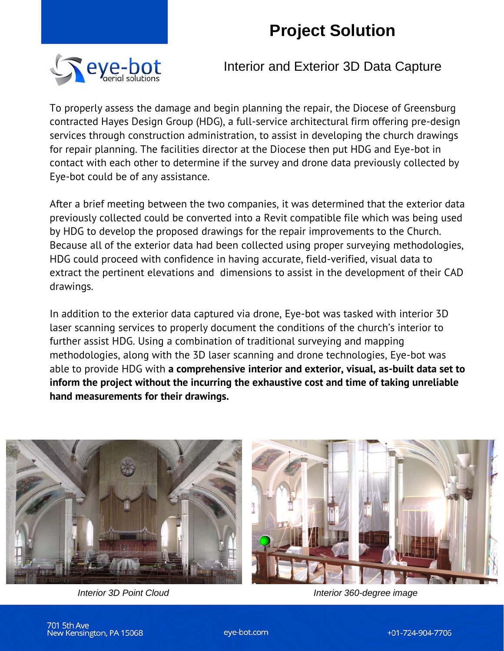## **Project Solution**



Interior and Exterior 3D Data Capture

To properly assess the damage and begin planning the repair, the Diocese of Greensburg contracted Hayes Design Group (HDG), a full-service architectural firm offering pre-design services through construction administration, to assist in developing the church drawings for repair planning. The facilities director at the Diocese then put HDG and Eye-bot in contact with each other to determine if the survey and drone data previously collected by Eye-bot could be of any assistance.

After a brief meeting between the two companies, it was determined that the exterior data previously collected could be converted into a Revit compatible file which was being used by HDG to develop the proposed drawings for the repair improvements to the Church. Because all of the exterior data had been collected using proper surveying methodologies, HDG could proceed with confidence in having accurate, field-verified, visual data to extract the pertinent elevations and dimensions to assist in the development of their CAD drawings.

In addition to the exterior data captured via drone, Eye-bot was tasked with interior 3D laser scanning services to properly document the conditions of the church's interior to further assist HDG. Using a combination of traditional surveying and mapping methodologies, along with the 3D laser scanning and drone technologies, Eye-bot was able to provide HDG with **a comprehensive interior and exterior, visual, as-built data set to inform the project without the incurring the exhaustive cost and time of taking unreliable hand measurements for their drawings.** 



*Interior 3D Point Cloud Interior 360-degree image*